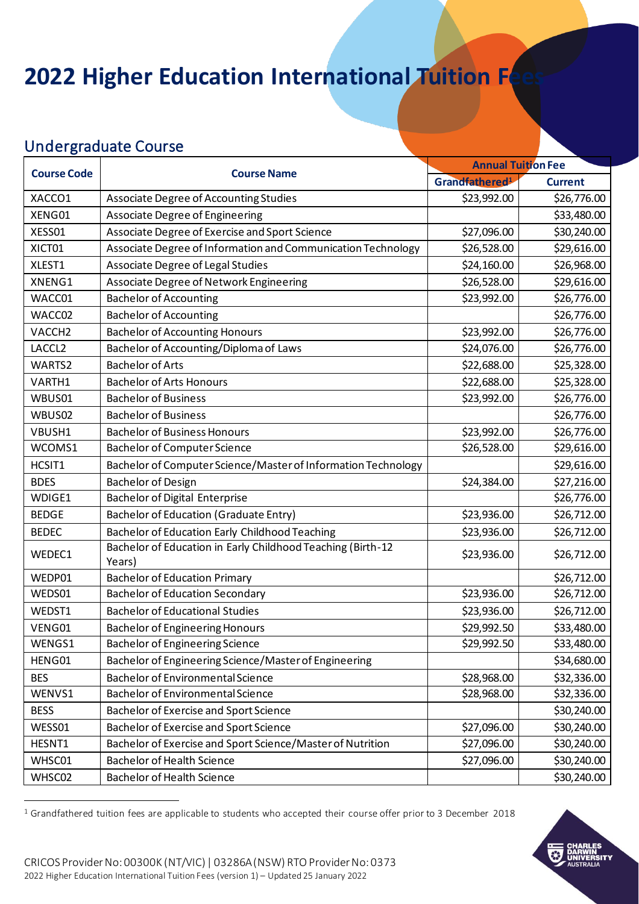# **2022 Higher Education International Tuition F**

#### Undergraduate Course

| <b>Course Code</b> | <b>Course Name</b>                                                    | <b>Annual Tuition Fee</b>                    |             |
|--------------------|-----------------------------------------------------------------------|----------------------------------------------|-------------|
|                    |                                                                       | Grandfathered <sup>1</sup><br><b>Current</b> |             |
| XACCO1             | Associate Degree of Accounting Studies                                | \$23,992.00                                  | \$26,776.00 |
| XENG01             | <b>Associate Degree of Engineering</b>                                |                                              | \$33,480.00 |
| XESS01             | Associate Degree of Exercise and Sport Science                        | \$27,096.00                                  | \$30,240.00 |
| XICT01             | Associate Degree of Information and Communication Technology          | \$26,528.00                                  | \$29,616.00 |
| XLEST1             | Associate Degree of Legal Studies                                     | \$24,160.00                                  | \$26,968.00 |
| XNENG1             | Associate Degree of Network Engineering                               | \$26,528.00                                  | \$29,616.00 |
| WACC01             | <b>Bachelor of Accounting</b>                                         | \$23,992.00                                  | \$26,776.00 |
| WACC02             | <b>Bachelor of Accounting</b>                                         |                                              | \$26,776.00 |
| VACCH <sub>2</sub> | <b>Bachelor of Accounting Honours</b>                                 | \$23,992.00                                  | \$26,776.00 |
| LACCL2             | Bachelor of Accounting/Diploma of Laws                                | \$24,076.00                                  | \$26,776.00 |
| WARTS2             | <b>Bachelor of Arts</b>                                               | \$22,688.00                                  | \$25,328.00 |
| VARTH1             | <b>Bachelor of Arts Honours</b>                                       | \$22,688.00                                  | \$25,328.00 |
| WBUS01             | <b>Bachelor of Business</b>                                           | \$23,992.00                                  | \$26,776.00 |
| WBUS02             | <b>Bachelor of Business</b>                                           |                                              | \$26,776.00 |
| VBUSH1             | <b>Bachelor of Business Honours</b>                                   | \$23,992.00                                  | \$26,776.00 |
| WCOMS1             | <b>Bachelor of Computer Science</b>                                   | \$26,528.00                                  | \$29,616.00 |
| HCSIT1             | Bachelor of Computer Science/Master of Information Technology         |                                              | \$29,616.00 |
| <b>BDES</b>        | <b>Bachelor of Design</b>                                             | \$24,384.00                                  | \$27,216.00 |
| WDIGE1             | <b>Bachelor of Digital Enterprise</b>                                 |                                              | \$26,776.00 |
| <b>BEDGE</b>       | <b>Bachelor of Education (Graduate Entry)</b>                         | \$23,936.00                                  | \$26,712.00 |
| <b>BEDEC</b>       | Bachelor of Education Early Childhood Teaching                        | \$23,936.00                                  | \$26,712.00 |
| WEDEC1             | Bachelor of Education in Early Childhood Teaching (Birth-12<br>Years) | \$23,936.00                                  | \$26,712.00 |
| WEDP01             | <b>Bachelor of Education Primary</b>                                  |                                              | \$26,712.00 |
| WEDS01             | <b>Bachelor of Education Secondary</b>                                | \$23,936.00                                  | \$26,712.00 |
| WEDST1             | <b>Bachelor of Educational Studies</b>                                | \$23,936.00                                  | \$26,712.00 |
| VENG01             | <b>Bachelor of Engineering Honours</b>                                | \$29,992.50                                  | \$33,480.00 |
| WENGS1             | <b>Bachelor of Engineering Science</b>                                | \$29,992.50                                  | \$33,480.00 |
| HENG01             | Bachelor of Engineering Science/Master of Engineering                 |                                              | \$34,680.00 |
| <b>BES</b>         | <b>Bachelor of Environmental Science</b>                              | \$28,968.00                                  | \$32,336.00 |
| WENVS1             | <b>Bachelor of Environmental Science</b>                              | \$28,968.00                                  | \$32,336.00 |
| <b>BESS</b>        | Bachelor of Exercise and Sport Science                                |                                              | \$30,240.00 |
| WESS01             | Bachelor of Exercise and Sport Science                                | \$27,096.00                                  | \$30,240.00 |
| HESNT1             | Bachelor of Exercise and Sport Science/Master of Nutrition            | \$27,096.00                                  | \$30,240.00 |
| WHSC01             | <b>Bachelor of Health Science</b>                                     | \$27,096.00                                  | \$30,240.00 |
| WHSC02             | <b>Bachelor of Health Science</b>                                     |                                              | \$30,240.00 |

 $1$  Grandfathered tuition fees are applicable to students who accepted their course offer prior to 3 December 2018

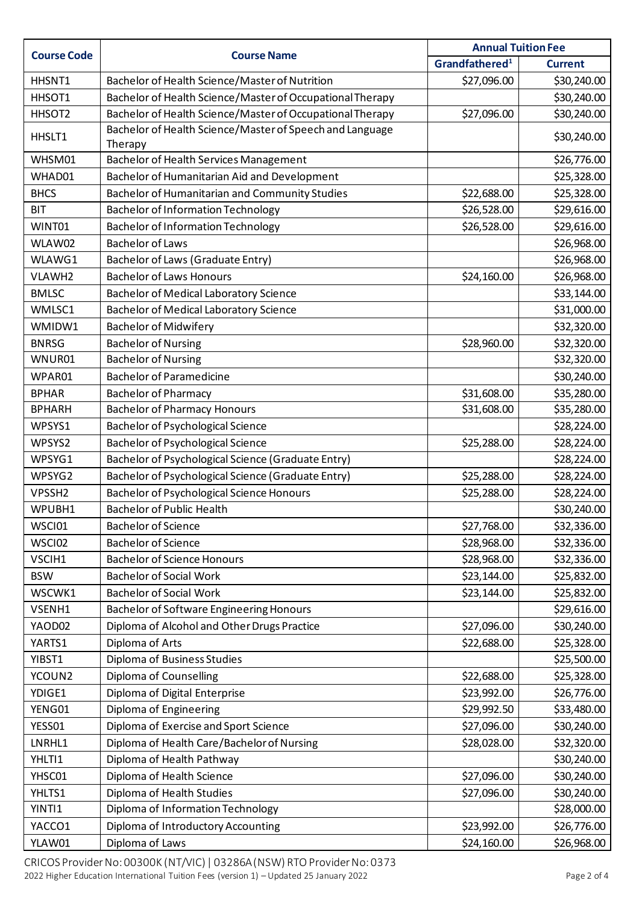| <b>Course Code</b> | <b>Course Name</b>                                                  | <b>Annual Tuition Fee</b><br>Grandfathered <sup>1</sup><br><b>Current</b> |             |
|--------------------|---------------------------------------------------------------------|---------------------------------------------------------------------------|-------------|
|                    |                                                                     |                                                                           |             |
| HHSNT1             | Bachelor of Health Science/Master of Nutrition                      | \$27,096.00                                                               | \$30,240.00 |
| HHSOT1             | Bachelor of Health Science/Master of Occupational Therapy           |                                                                           | \$30,240.00 |
| HHSOT2             | Bachelor of Health Science/Master of Occupational Therapy           | \$27,096.00                                                               | \$30,240.00 |
| HHSLT1             | Bachelor of Health Science/Master of Speech and Language<br>Therapy |                                                                           | \$30,240.00 |
| WHSM01             | Bachelor of Health Services Management                              |                                                                           | \$26,776.00 |
| WHAD01             | Bachelor of Humanitarian Aid and Development                        |                                                                           | \$25,328.00 |
| <b>BHCS</b>        | Bachelor of Humanitarian and Community Studies                      | \$22,688.00                                                               | \$25,328.00 |
| <b>BIT</b>         | <b>Bachelor of Information Technology</b>                           | \$26,528.00                                                               | \$29,616.00 |
| WINT01             | <b>Bachelor of Information Technology</b>                           | \$26,528.00                                                               | \$29,616.00 |
| WLAW02             | <b>Bachelor of Laws</b>                                             |                                                                           | \$26,968.00 |
| WLAWG1             | Bachelor of Laws (Graduate Entry)                                   |                                                                           | \$26,968.00 |
| VLAWH2             | <b>Bachelor of Laws Honours</b>                                     | \$24,160.00                                                               | \$26,968.00 |
| <b>BMLSC</b>       | <b>Bachelor of Medical Laboratory Science</b>                       |                                                                           | \$33,144.00 |
| WMLSC1             | <b>Bachelor of Medical Laboratory Science</b>                       |                                                                           | \$31,000.00 |
| WMIDW1             | <b>Bachelor of Midwifery</b>                                        |                                                                           | \$32,320.00 |
| <b>BNRSG</b>       | <b>Bachelor of Nursing</b>                                          | \$28,960.00                                                               | \$32,320.00 |
| WNUR01             | <b>Bachelor of Nursing</b>                                          |                                                                           | \$32,320.00 |
| WPAR01             | <b>Bachelor of Paramedicine</b>                                     |                                                                           | \$30,240.00 |
| <b>BPHAR</b>       | <b>Bachelor of Pharmacy</b>                                         | \$31,608.00                                                               | \$35,280.00 |
| <b>BPHARH</b>      | <b>Bachelor of Pharmacy Honours</b>                                 | \$31,608.00                                                               | \$35,280.00 |
| WPSYS1             | Bachelor of Psychological Science                                   |                                                                           | \$28,224.00 |
| WPSYS2             | <b>Bachelor of Psychological Science</b>                            | \$25,288.00                                                               | \$28,224.00 |
| WPSYG1             | Bachelor of Psychological Science (Graduate Entry)                  |                                                                           | \$28,224.00 |
| WPSYG2             | Bachelor of Psychological Science (Graduate Entry)                  | \$25,288.00                                                               | \$28,224.00 |
| VPSSH <sub>2</sub> | Bachelor of Psychological Science Honours                           | \$25,288.00                                                               | \$28,224.00 |
| WPUBH1             | <b>Bachelor of Public Health</b>                                    |                                                                           | \$30,240.00 |
| WSCI01             | <b>Bachelor of Science</b>                                          | \$27,768.00                                                               | \$32,336.00 |
| WSCI02             | <b>Bachelor of Science</b>                                          | \$28,968.00                                                               | \$32,336.00 |
| VSCIH1             | <b>Bachelor of Science Honours</b>                                  | \$28,968.00                                                               | \$32,336.00 |
| <b>BSW</b>         | <b>Bachelor of Social Work</b>                                      | \$23,144.00                                                               | \$25,832.00 |
| WSCWK1             | <b>Bachelor of Social Work</b>                                      | \$23,144.00                                                               | \$25,832.00 |
| VSENH1             | <b>Bachelor of Software Engineering Honours</b>                     |                                                                           | \$29,616.00 |
| YAOD02             | Diploma of Alcohol and Other Drugs Practice                         | \$27,096.00                                                               | \$30,240.00 |
| YARTS1             | Diploma of Arts                                                     | \$22,688.00                                                               | \$25,328.00 |
| YIBST1             | Diploma of Business Studies                                         |                                                                           | \$25,500.00 |
| YCOUN2             | Diploma of Counselling                                              | \$22,688.00                                                               | \$25,328.00 |
| YDIGE1             | Diploma of Digital Enterprise                                       | \$23,992.00                                                               | \$26,776.00 |
| YENG01             | Diploma of Engineering                                              | \$29,992.50                                                               | \$33,480.00 |
| YESS01             | Diploma of Exercise and Sport Science                               | \$27,096.00                                                               | \$30,240.00 |
| LNRHL1             | Diploma of Health Care/Bachelor of Nursing                          | \$28,028.00                                                               | \$32,320.00 |
| YHLTI1             | Diploma of Health Pathway                                           |                                                                           | \$30,240.00 |
| YHSC01             | Diploma of Health Science                                           | \$27,096.00                                                               | \$30,240.00 |
| YHLTS1             | Diploma of Health Studies                                           | \$27,096.00                                                               | \$30,240.00 |
| YINTI1             | Diploma of Information Technology                                   |                                                                           | \$28,000.00 |
| YACCO1             | Diploma of Introductory Accounting                                  | \$23,992.00                                                               | \$26,776.00 |
| YLAW01             | Diploma of Laws                                                     | \$24,160.00                                                               | \$26,968.00 |

CRICOS Provider No: 00300K (NT/VIC) | 03286A (NSW) RTO Provider No: 0373 2022 Higher Education International Tuition Fees (version 1) – Updated 25 January 2022 Page 2 of 4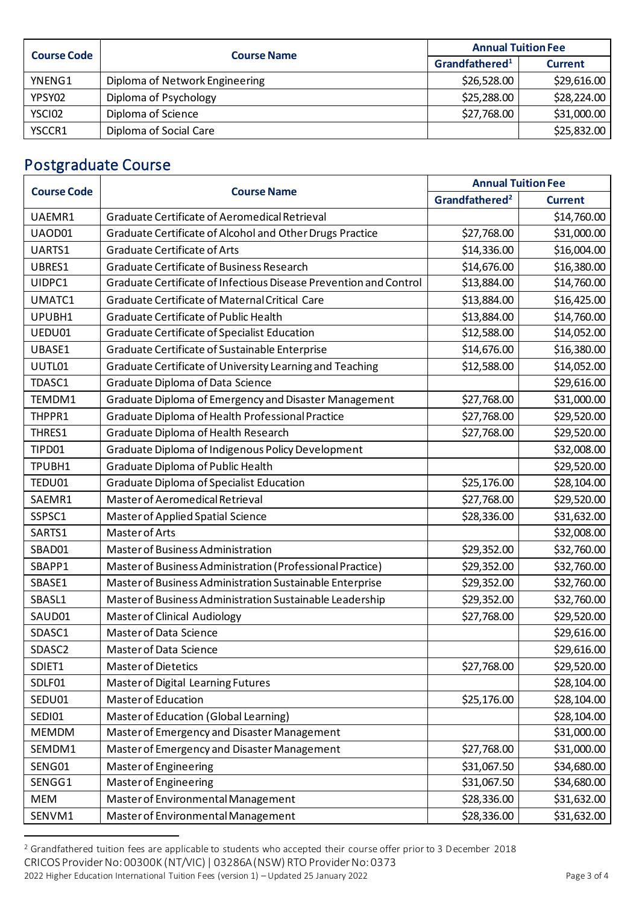| <b>Course Code</b> | <b>Course Name</b>             | <b>Annual Tuition Fee</b>                    |             |
|--------------------|--------------------------------|----------------------------------------------|-------------|
|                    |                                | Grandfathered <sup>1</sup><br><b>Current</b> |             |
| YNENG1             | Diploma of Network Engineering | \$26,528.00                                  | \$29,616.00 |
| YPSY02             | Diploma of Psychology          | \$25,288.00                                  | \$28,224.00 |
| YSCI02             | Diploma of Science             | \$27,768.00                                  | \$31,000.00 |
| YSCCR1             | Diploma of Social Care         |                                              | \$25,832.00 |

## Postgraduate Course

| <b>Course Code</b> | <b>Course Name</b>                                                | <b>Annual Tuition Fee</b>                    |             |
|--------------------|-------------------------------------------------------------------|----------------------------------------------|-------------|
|                    |                                                                   | Grandfathered <sup>2</sup><br><b>Current</b> |             |
| UAEMR1             | Graduate Certificate of Aeromedical Retrieval                     |                                              | \$14,760.00 |
| UAOD01             | Graduate Certificate of Alcohol and Other Drugs Practice          | \$27,768.00                                  | \$31,000.00 |
| UARTS1             | <b>Graduate Certificate of Arts</b>                               | \$14,336.00                                  | \$16,004.00 |
| UBRES1             | <b>Graduate Certificate of Business Research</b>                  | \$14,676.00                                  | \$16,380.00 |
| UIDPC1             | Graduate Certificate of Infectious Disease Prevention and Control | \$13,884.00                                  | \$14,760.00 |
| UMATC1             | Graduate Certificate of Maternal Critical Care                    | \$13,884.00                                  | \$16,425.00 |
| UPUBH1             | <b>Graduate Certificate of Public Health</b>                      | \$13,884.00                                  | \$14,760.00 |
| UEDU01             | Graduate Certificate of Specialist Education                      | \$12,588.00                                  | \$14,052.00 |
| UBASE1             | Graduate Certificate of Sustainable Enterprise                    | \$14,676.00                                  | \$16,380.00 |
| UUTL01             | Graduate Certificate of University Learning and Teaching          | \$12,588.00                                  | \$14,052.00 |
| TDASC1             | Graduate Diploma of Data Science                                  |                                              | \$29,616.00 |
| TEMDM1             | Graduate Diploma of Emergency and Disaster Management             | \$27,768.00                                  | \$31,000.00 |
| THPPR1             | Graduate Diploma of Health Professional Practice                  | \$27,768.00                                  | \$29,520.00 |
| THRES1             | Graduate Diploma of Health Research                               | \$27,768.00                                  | \$29,520.00 |
| TIPD01             | Graduate Diploma of Indigenous Policy Development                 |                                              | \$32,008.00 |
| TPUBH1             | Graduate Diploma of Public Health                                 |                                              | \$29,520.00 |
| TEDU01             | <b>Graduate Diploma of Specialist Education</b>                   | \$25,176.00                                  | \$28,104.00 |
| SAEMR1             | Master of Aeromedical Retrieval                                   | \$27,768.00                                  | \$29,520.00 |
| SSPSC1             | Master of Applied Spatial Science                                 | \$28,336.00                                  | \$31,632.00 |
| SARTS1             | Master of Arts                                                    |                                              | \$32,008.00 |
| SBAD01             | Master of Business Administration                                 | \$29,352.00                                  | \$32,760.00 |
| SBAPP1             | Master of Business Administration (Professional Practice)         | \$29,352.00                                  | \$32,760.00 |
| SBASE1             | Master of Business Administration Sustainable Enterprise          | \$29,352.00                                  | \$32,760.00 |
| SBASL1             | Master of Business Administration Sustainable Leadership          | \$29,352.00                                  | \$32,760.00 |
| SAUD01             | <b>Master of Clinical Audiology</b>                               | \$27,768.00                                  | \$29,520.00 |
| SDASC1             | Master of Data Science                                            |                                              | \$29,616.00 |
| SDASC <sub>2</sub> | Master of Data Science                                            |                                              | \$29,616.00 |
| SDIET1             | <b>Master of Dietetics</b>                                        | \$27,768.00                                  | \$29,520.00 |
| SDLF01             | Master of Digital Learning Futures                                |                                              | \$28,104.00 |
| SEDU01             | Master of Education                                               | \$25,176.00                                  | \$28,104.00 |
| SEDI01             | Master of Education (Global Learning)                             |                                              | \$28,104.00 |
| <b>MEMDM</b>       | Master of Emergency and Disaster Management                       |                                              | \$31,000.00 |
| SEMDM1             | Master of Emergency and Disaster Management                       | \$27,768.00                                  | \$31,000.00 |
| SENG01             | Master of Engineering                                             | \$31,067.50                                  | \$34,680.00 |
| SENGG1             | Master of Engineering                                             | \$31,067.50                                  | \$34,680.00 |
| <b>MEM</b>         | Master of Environmental Management                                | \$28,336.00                                  | \$31,632.00 |
| SENVM1             | Master of Environmental Management                                | \$28,336.00                                  | \$31,632.00 |

<sup>&</sup>lt;sup>2</sup> Grandfathered tuition fees are applicable to students who accepted their course offer prior to 3 December 2018

CRICOS Provider No: 00300K (NT/VIC) | 03286A (NSW) RTO Provider No: 0373

<sup>2022</sup> Higher Education International Tuition Fees (version 1) - Updated 25 January 2022 Page 3 of 4